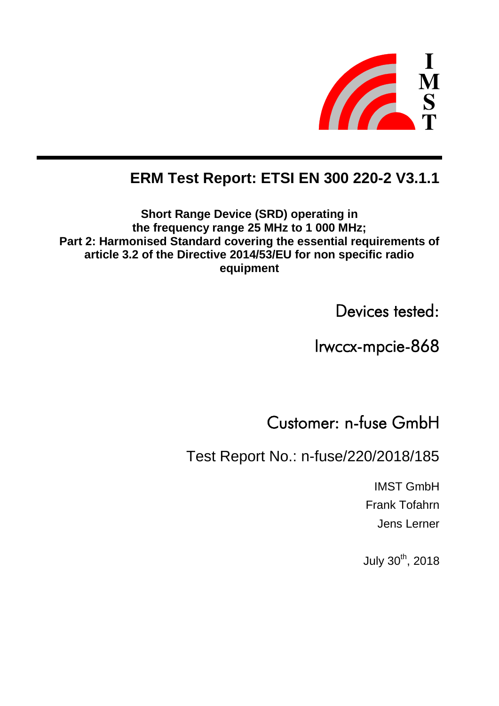

# **ERM Test Report: ETSI EN 300 220-2 V3.1.1**

**Short Range Device (SRD) operating in the frequency range 25 MHz to 1 000 MHz; Part 2: Harmonised Standard covering the essential requirements of article 3.2 of the Directive 2014/53/EU for non specific radio equipment**

Devices tested:

Irwccx-mpcie-868

Customer: n-fuse GmbH

Test Report No.: n-fuse/220/2018/185

IMST GmbH Frank Tofahrn Jens Lerner

July 30<sup>th</sup>, 2018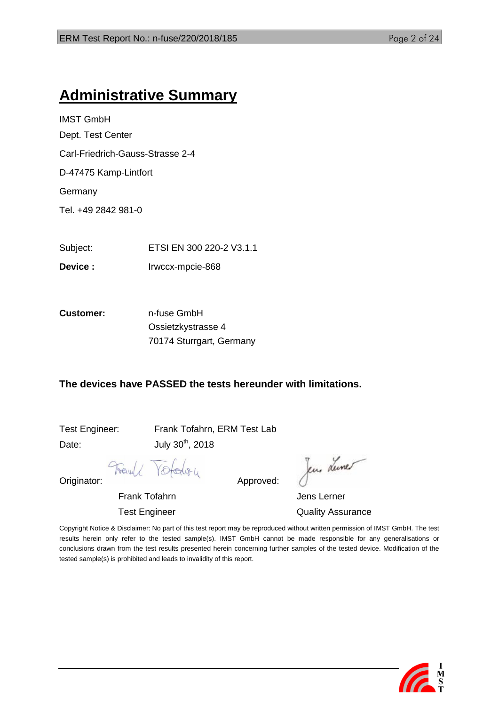# **Administrative Summary**

IMST GmbH Dept. Test Center Carl-Friedrich-Gauss-Strasse 2-4 D-47475 Kamp-Lintfort **Germany** Tel. +49 2842 981-0

Subject: ETSI EN 300 220-2 V3.1.1

**Device :** Irwccx-mpcie-868

**Customer:** n-fuse GmbH Ossietzkystrasse 4 70174 Sturrgart, Germany

## **The devices have PASSED the tests hereunder with limitations.**

Date:  $July 30<sup>th</sup>, 2018$ 

Test Engineer: Frank Tofahrn, ERM Test Lab

Yotalou

Jens Lune

Frank Tofahrn Group and Terner Jens Lerner Test Engineer **Test Engineer** Cuality Assurance

Copyright Notice & Disclaimer: No part of this test report may be reproduced without written permission of IMST GmbH. The test results herein only refer to the tested sample(s). IMST GmbH cannot be made responsible for any generalisations or conclusions drawn from the test results presented herein concerning further samples of the tested device. Modification of the tested sample(s) is prohibited and leads to invalidity of this report.



Fauld Originator: Approved: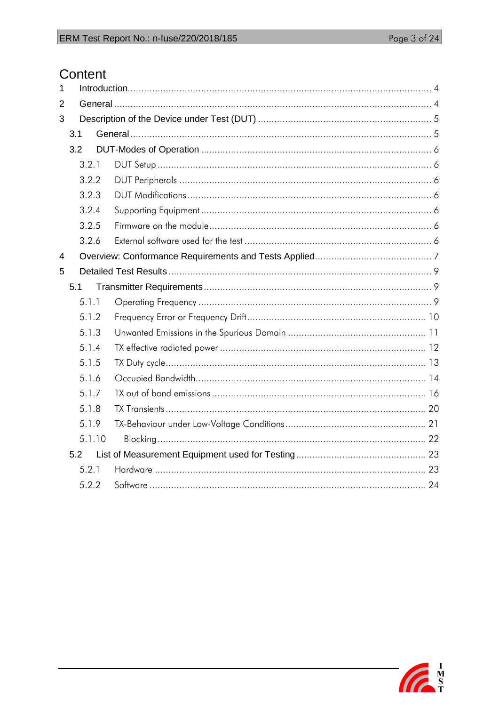# Content

| 1              |        |  |  |
|----------------|--------|--|--|
| $\overline{2}$ |        |  |  |
| 3              |        |  |  |
|                | 3.1    |  |  |
|                | 3.2    |  |  |
|                | 3.2.1  |  |  |
|                | 3.2.2  |  |  |
|                | 3.2.3  |  |  |
|                | 3.2.4  |  |  |
|                | 3.2.5  |  |  |
|                | 3.2.6  |  |  |
| $\overline{4}$ |        |  |  |
| 5              |        |  |  |
|                | 5.1    |  |  |
|                | 5.1.1  |  |  |
|                | 5.1.2  |  |  |
|                | 5.1.3  |  |  |
|                | 5.1.4  |  |  |
|                | 5.1.5  |  |  |
|                | 5.1.6  |  |  |
|                | 5.1.7  |  |  |
|                | 5.1.8  |  |  |
|                | 5.1.9  |  |  |
|                | 5.1.10 |  |  |
|                | 5.2    |  |  |
|                | 5.2.1  |  |  |
|                | 5.2.2  |  |  |

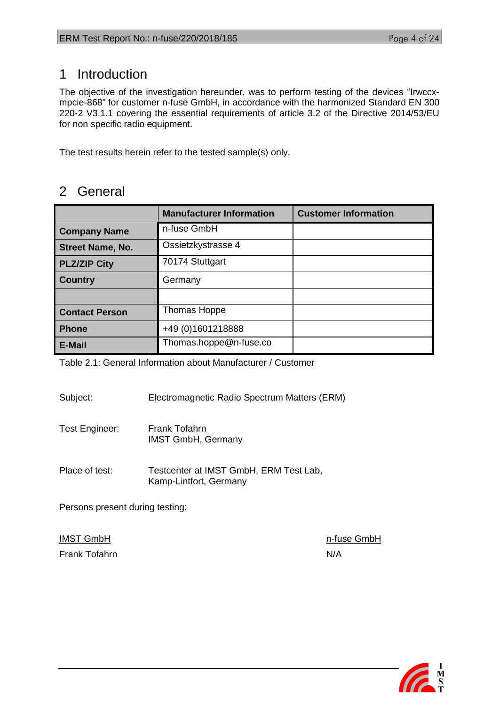# <span id="page-3-0"></span>1 Introduction

The objective of the investigation hereunder, was to perform testing of the devices "Irwccxmpcie-868" for customer n-fuse GmbH, in accordance with the harmonized Standard EN 300 220-2 V3.1.1 covering the essential requirements of article 3.2 of the Directive 2014/53/EU for non specific radio equipment.

The test results herein refer to the tested sample(s) only.

# <span id="page-3-1"></span>2 General

|                         | <b>Manufacturer Information</b> | <b>Customer Information</b> |
|-------------------------|---------------------------------|-----------------------------|
| <b>Company Name</b>     | n-fuse GmbH                     |                             |
| <b>Street Name, No.</b> | Ossietzkystrasse 4              |                             |
| <b>PLZ/ZIP City</b>     | 70174 Stuttgart                 |                             |
| <b>Country</b>          | Germany                         |                             |
|                         |                                 |                             |
| <b>Contact Person</b>   | Thomas Hoppe                    |                             |
| <b>Phone</b>            | +49 (0) 1601218888              |                             |
| <b>E-Mail</b>           | Thomas.hoppe@n-fuse.co          |                             |

Table 2.1: General Information about Manufacturer / Customer

Subject: Electromagnetic Radio Spectrum Matters (ERM)

- Test Engineer: Frank Tofahrn IMST GmbH, Germany
- Place of test: Testcenter at IMST GmbH, ERM Test Lab, Kamp-Lintfort, Germany

Persons present during testing:

Frank Tofahrn N/A

IMST GmbH **n-fuse GmbH** 

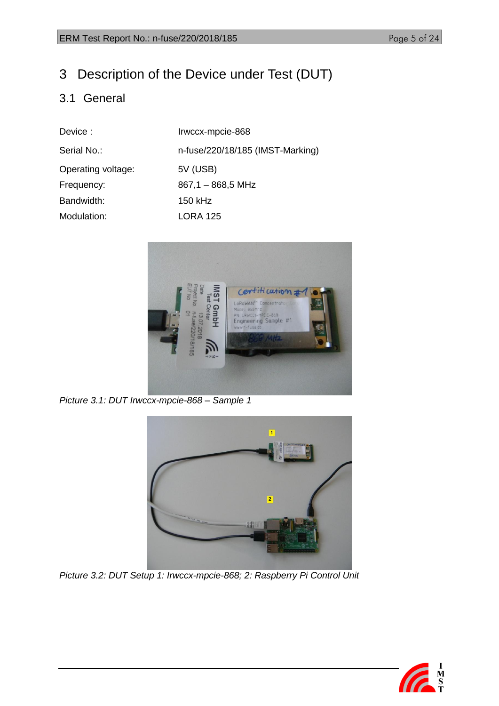# <span id="page-4-0"></span>3 Description of the Device under Test (DUT)

# <span id="page-4-1"></span>3.1 General

| Device:            | Irwccx-mpcie-868                 |
|--------------------|----------------------------------|
| Serial No.:        | n-fuse/220/18/185 (IMST-Marking) |
| Operating voltage: | 5V (USB)                         |
| Frequency:         | $867,1 - 868,5$ MHz              |
| Bandwidth:         | 150 kHz                          |
| Modulation:        | <b>LORA 125</b>                  |
|                    |                                  |



*Picture 3.1: DUT Irwccx-mpcie-868 – Sample 1*



*Picture 3.2: DUT Setup 1: Irwccx-mpcie-868; 2: Raspberry Pi Control Unit*

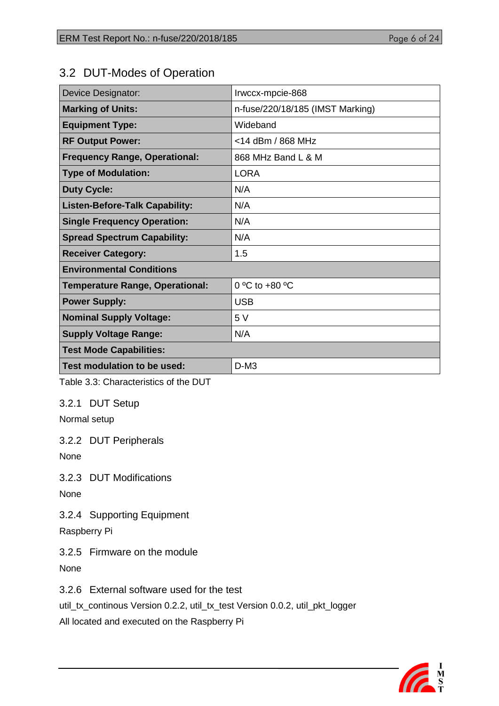# <span id="page-5-0"></span>3.2 DUT-Modes of Operation

| <b>Device Designator:</b>              | Irwccx-mpcie-868                 |
|----------------------------------------|----------------------------------|
| <b>Marking of Units:</b>               | n-fuse/220/18/185 (IMST Marking) |
| <b>Equipment Type:</b>                 | Wideband                         |
| <b>RF Output Power:</b>                | <14 dBm / 868 MHz                |
| <b>Frequency Range, Operational:</b>   | 868 MHz Band L & M               |
| <b>Type of Modulation:</b>             | <b>LORA</b>                      |
| <b>Duty Cycle:</b>                     | N/A                              |
| <b>Listen-Before-Talk Capability:</b>  | N/A                              |
| <b>Single Frequency Operation:</b>     | N/A                              |
| <b>Spread Spectrum Capability:</b>     | N/A                              |
| <b>Receiver Category:</b>              | 1.5                              |
| <b>Environmental Conditions</b>        |                                  |
| <b>Temperature Range, Operational:</b> | $0 °C$ to $+80 °C$               |
| <b>Power Supply:</b>                   | <b>USB</b>                       |
| <b>Nominal Supply Voltage:</b>         | 5 V                              |
| <b>Supply Voltage Range:</b>           | N/A                              |
| Test Mode Capabilities:                |                                  |
| Test modulation to be used:            | $D-M3$                           |

Table 3.3: Characteristics of the DUT

## <span id="page-5-1"></span>3.2.1 DUT Setup

Normal setup

<span id="page-5-2"></span>3.2.2 DUT Peripherals

None

<span id="page-5-3"></span>3.2.3 DUT Modifications

None

<span id="page-5-4"></span>3.2.4 Supporting Equipment

Raspberry Pi

<span id="page-5-5"></span>3.2.5 Firmware on the module

None

<span id="page-5-6"></span>3.2.6 External software used for the test

util\_tx\_continous Version 0.2.2, util\_tx\_test Version 0.0.2, util\_pkt\_logger

All located and executed on the Raspberry Pi

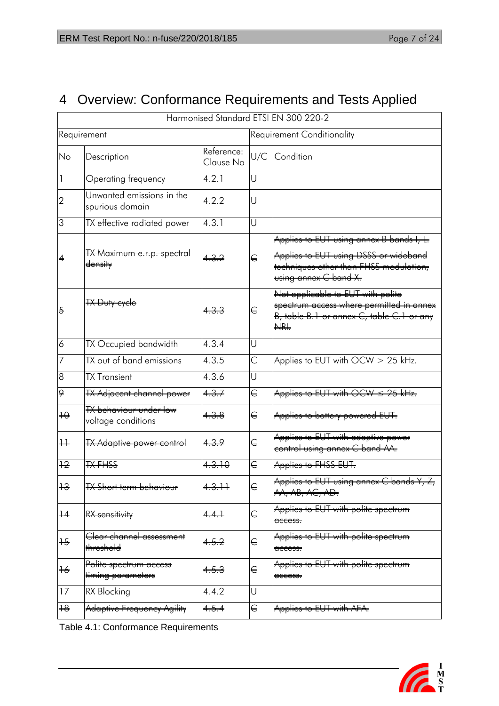# <span id="page-6-0"></span>4 Overview: Conformance Requirements and Tests Applied

| Harmonised Standard ETSI EN 300 220-2 |                                                                    |                         |                                   |                                                                                                                                                      |  |  |  |
|---------------------------------------|--------------------------------------------------------------------|-------------------------|-----------------------------------|------------------------------------------------------------------------------------------------------------------------------------------------------|--|--|--|
| Requirement                           |                                                                    |                         | <b>Requirement Conditionality</b> |                                                                                                                                                      |  |  |  |
| No                                    | Description                                                        | Reference:<br>Clause No | U/C                               | Condition                                                                                                                                            |  |  |  |
|                                       | Operating frequency                                                | 4.2.1                   | U                                 |                                                                                                                                                      |  |  |  |
| $\overline{2}$                        | Unwanted emissions in the<br>spurious domain                       | 4.2.2                   | U                                 |                                                                                                                                                      |  |  |  |
| 3                                     | TX effective radiated power                                        | 4.3.1                   | U                                 |                                                                                                                                                      |  |  |  |
|                                       | <del>TX Maximum e.r.p. spectral</del><br><del>density</del>        |                         | €                                 | Applies to EUT using annex B bands I, L.<br>Applies to EUT using DSSS or wideband<br>techniques other than FHSS modulation,<br>using annex C band X. |  |  |  |
| $\overline{6}$                        | <del>TX Duty cycle</del>                                           |                         | €                                 | Not applicable to EUT with polite<br>spectrum access where permitted in annex<br>B, table B.1 or annex C, table C.1 or any<br>NRI.                   |  |  |  |
| 6                                     | TX Occupied bandwidth                                              | 4.3.4                   | U                                 |                                                                                                                                                      |  |  |  |
| 7                                     | TX out of band emissions                                           | 4.3.5                   | C                                 | Applies to EUT with OCW > 25 kHz.                                                                                                                    |  |  |  |
| 8                                     | <b>TX Transient</b>                                                | 4.3.6                   | U                                 |                                                                                                                                                      |  |  |  |
| 9                                     | <b>TX Adjacent channel power</b>                                   | 4.3.7                   | €                                 | Applies to EUT with $\overline{OCW} \leq 25$ kHz.                                                                                                    |  |  |  |
| $+ \Theta$                            | <del>TX behaviour under low</del><br><del>voltage conditions</del> | <del>4.3.8</del>        | €                                 | Applies to battery powered EUT.                                                                                                                      |  |  |  |
| $\ddotplus$                           | <b>TX Adaptive power control</b>                                   | 4.3.9                   | €                                 | Applies to EUT with adaptive power<br>control using annex C band AA.                                                                                 |  |  |  |
| $+2$                                  | <b>TX-FHSS</b>                                                     | 4.3.10                  | €                                 | Applies to FHSS EUT.                                                                                                                                 |  |  |  |
| 12<br>᠇ᠣ                              | <b>TX Short term behaviour</b>                                     | 4 <del>.3.11</del>      | U                                 | Applies to EUT using annex C bands Y, Z,<br>AA, AB, AC, AD.                                                                                          |  |  |  |
| $+4$                                  | RX sensitivity                                                     | 4.4.1                   | €                                 | Applies to EUT with polite spectrum<br><del>access.</del>                                                                                            |  |  |  |
| $+\frac{2}{3}$                        | <del>Clear channel assessment</del><br><del>threshold</del>        | <del>4.5.2</del>        | €                                 | Applies to EUT with polite spectrum<br><del>access.</del>                                                                                            |  |  |  |
| $\pm 6$                               | Polite spectrum access<br>timing parameters                        | <del>4.5.3</del>        | €                                 | Applies to EUT with polite spectrum<br><del>access.</del>                                                                                            |  |  |  |
| 17                                    | RX Blocking                                                        | 4.4.2                   | U                                 |                                                                                                                                                      |  |  |  |
| $+8$                                  | Adaptive Frequency Agility                                         | 4.5.4                   | €                                 | Applies to EUT with AFA.                                                                                                                             |  |  |  |

Table 4.1: Conformance Requirements

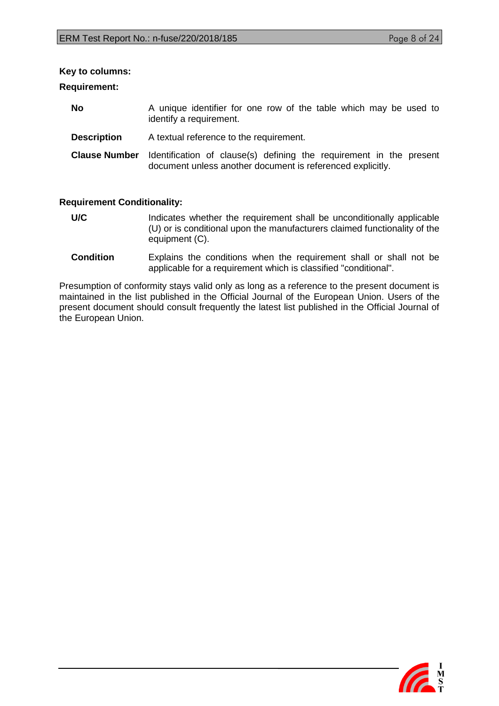#### **Key to columns:**

#### **Requirement:**

| <b>No</b>          | A unique identifier for one row of the table which may be used to<br>identify a requirement.                                                           |
|--------------------|--------------------------------------------------------------------------------------------------------------------------------------------------------|
| <b>Description</b> | A textual reference to the requirement.                                                                                                                |
|                    | <b>Clause Number</b> Identification of clause(s) defining the requirement in the present<br>document unless another document is referenced explicitly. |

#### **Requirement Conditionality:**

- U/C Indicates whether the requirement shall be unconditionally applicable (U) or is conditional upon the manufacturers claimed functionality of the equipment (C).
- **Condition** Explains the conditions when the requirement shall or shall not be applicable for a requirement which is classified "conditional".

Presumption of conformity stays valid only as long as a reference to the present document is maintained in the list published in the Official Journal of the European Union. Users of the present document should consult frequently the latest list published in the Official Journal of the European Union.

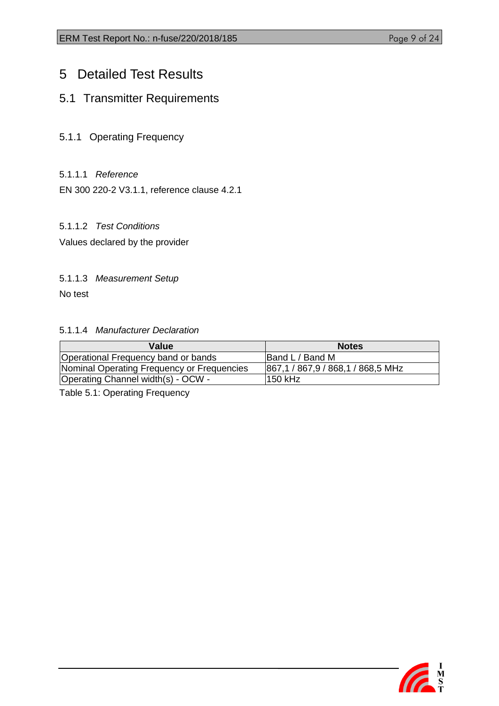# <span id="page-8-0"></span>5 Detailed Test Results

# <span id="page-8-1"></span>5.1 Transmitter Requirements

- <span id="page-8-2"></span>5.1.1 Operating Frequency
- 5.1.1.1 *Reference*

EN 300 220-2 V3.1.1, reference clause 4.2.1

## 5.1.1.2 *Test Conditions*

Values declared by the provider

#### 5.1.1.3 *Measurement Setup*

No test

#### 5.1.1.4 *Manufacturer Declaration*

| Value                                      | <b>Notes</b>                      |
|--------------------------------------------|-----------------------------------|
| Operational Frequency band or bands        | Band L / Band M                   |
| Nominal Operating Frequency or Frequencies | 867,1 / 867,9 / 868,1 / 868,5 MHz |
| Operating Channel width(s) - OCW -         | l150 kHz                          |

Table 5.1: Operating Frequency

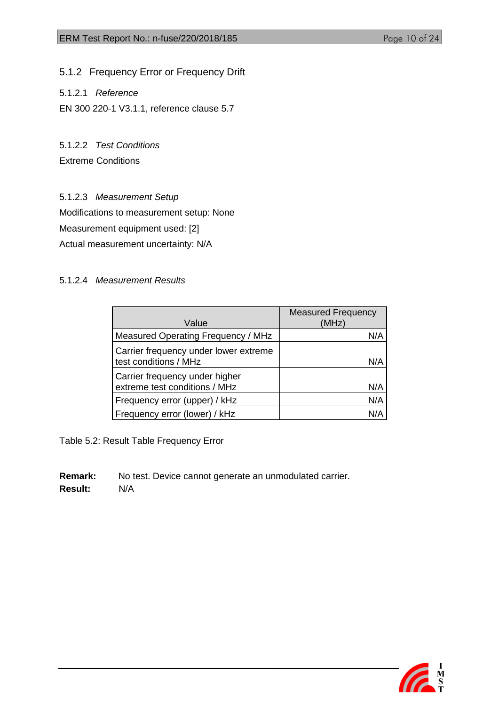<span id="page-9-0"></span>5.1.2 Frequency Error or Frequency Drift

5.1.2.1 *Reference*

EN 300 220-1 V3.1.1, reference clause 5.7

5.1.2.2 *Test Conditions*

Extreme Conditions

5.1.2.3 *Measurement Setup*

Modifications to measurement setup: None

Measurement equipment used: [2]

Actual measurement uncertainty: N/A

#### 5.1.2.4 *Measurement Results*

|                                                                 | <b>Measured Frequency</b> |
|-----------------------------------------------------------------|---------------------------|
| Value                                                           | (MHz)                     |
| Measured Operating Frequency / MHz                              | N/A                       |
| Carrier frequency under lower extreme<br>test conditions / MHz  | N/A                       |
| Carrier frequency under higher<br>extreme test conditions / MHz | N/A                       |
| Frequency error (upper) / kHz                                   | N/A                       |
| Frequency error (lower) / kHz                                   | N/A                       |

Table 5.2: Result Table Frequency Error

**Remark:** No test. Device cannot generate an unmodulated carrier. **Result:** N/A

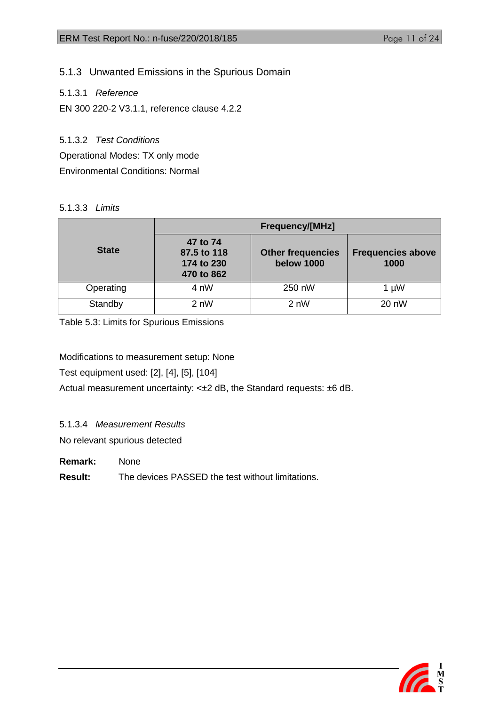# <span id="page-10-0"></span>5.1.3 Unwanted Emissions in the Spurious Domain

5.1.3.1 *Reference*

EN 300 220-2 V3.1.1, reference clause 4.2.2

5.1.3.2 *Test Conditions* Operational Modes: TX only mode

Environmental Conditions: Normal

#### 5.1.3.3 *Limits*

|              | <b>Frequency/[MHz]</b>                              |                                               |                                  |  |
|--------------|-----------------------------------------------------|-----------------------------------------------|----------------------------------|--|
| <b>State</b> | 47 to 74<br>87.5 to 118<br>174 to 230<br>470 to 862 | <b>Other frequencies</b><br><b>below 1000</b> | <b>Frequencies above</b><br>1000 |  |
| Operating    | 4 nW                                                | 250 nW                                        | $1 \mu W$                        |  |
| Standby      | 2 nW                                                | 2 nW                                          | 20 nW                            |  |

Table 5.3: Limits for Spurious Emissions

Modifications to measurement setup: None

Test equipment used: [2], [4], [5], [104]

Actual measurement uncertainty: <±2 dB, the Standard requests: ±6 dB.

5.1.3.4 *Measurement Results*

No relevant spurious detected

**Remark:** None

**Result:** The devices PASSED the test without limitations.

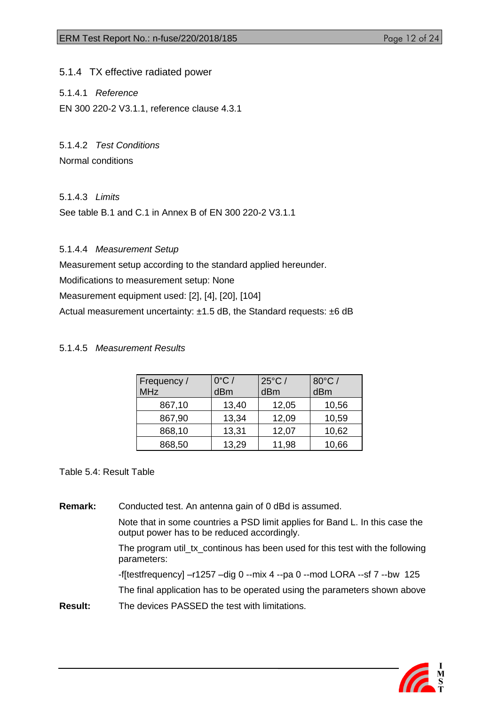<span id="page-11-0"></span>5.1.4 TX effective radiated power

5.1.4.1 *Reference*

EN 300 220-2 V3.1.1, reference clause 4.3.1

5.1.4.2 *Test Conditions* Normal conditions

## 5.1.4.3 *Limits*

See table B.1 and C.1 in Annex B of EN 300 220-2 V3.1.1

5.1.4.4 *Measurement Setup*

Measurement setup according to the standard applied hereunder.

Modifications to measurement setup: None

Measurement equipment used: [2], [4], [20], [104]

Actual measurement uncertainty: ±1.5 dB, the Standard requests: ±6 dB

### 5.1.4.5 *Measurement Results*

| Frequency /<br><b>MHz</b> | $0^{\circ}$ C /<br>dBm | $25^{\circ}$ C /<br>dBm | $80^{\circ}$ C /<br>dBm |
|---------------------------|------------------------|-------------------------|-------------------------|
| 867,10                    | 13,40                  | 12,05                   | 10,56                   |
| 867,90                    | 13,34                  | 12,09                   | 10,59                   |
| 868,10                    | 13,31                  | 12,07                   | 10,62                   |
| 868,50                    | 13,29                  | 11,98                   | 10,66                   |

#### Table 5.4: Result Table

**Remark:** Conducted test. An antenna gain of 0 dBd is assumed. Note that in some countries a PSD limit applies for Band L. In this case the

output power has to be reduced accordingly.

The program util\_tx\_continous has been used for this test with the following parameters:

 $-f[testfrequency] -r1257 -dig 0 -mix 4 -pa 0 -mod LORA --sf 7 -bw 125$ The final application has to be operated using the parameters shown above **Result:** The devices PASSED the test with limitations.

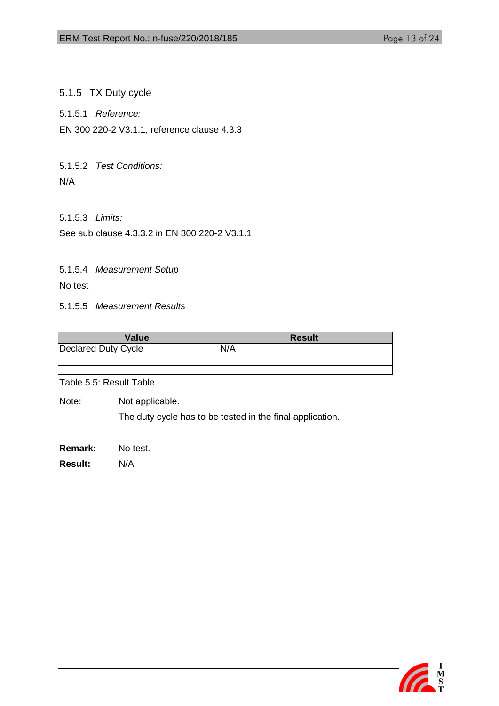<span id="page-12-0"></span>5.1.5 TX Duty cycle

5.1.5.1 *Reference:*

EN 300 220-2 V3.1.1, reference clause 4.3.3

5.1.5.2 *Test Conditions:* N/A

5.1.5.3 *Limits:*

See sub clause 4.3.3.2 in EN 300 220-2 V3.1.1

5.1.5.4 *Measurement Setup*

No test

5.1.5.5 *Measurement Results*

| <b>Value</b>               | <b>Result</b> |
|----------------------------|---------------|
| <b>Declared Duty Cycle</b> | N/A           |
|                            |               |
|                            |               |

Table 5.5: Result Table

Note: Not applicable.

The duty cycle has to be tested in the final application.

**Remark:** No test.

**Result:** N/A

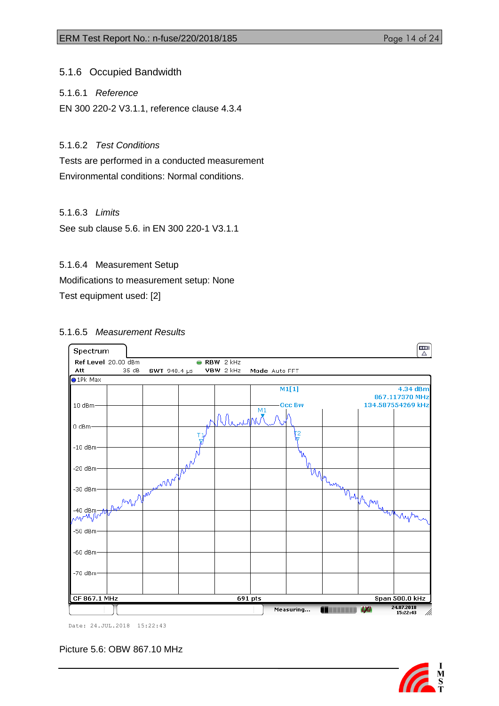<span id="page-13-0"></span>5.1.6 Occupied Bandwidth

5.1.6.1 *Reference*

EN 300 220-2 V3.1.1, reference clause 4.3.4

## 5.1.6.2 *Test Conditions*

Tests are performed in a conducted measurement Environmental conditions: Normal conditions.

### 5.1.6.3 *Limits*

See sub clause 5.6. in EN 300 220-1 V3.1.1

### 5.1.6.4 Measurement Setup

Modifications to measurement setup: None

Test equipment used: [2]

### 5.1.6.5 *Measurement Results*



Date: 24.JUL.2018 15:22:43

Picture 5.6: OBW 867.10 MHz

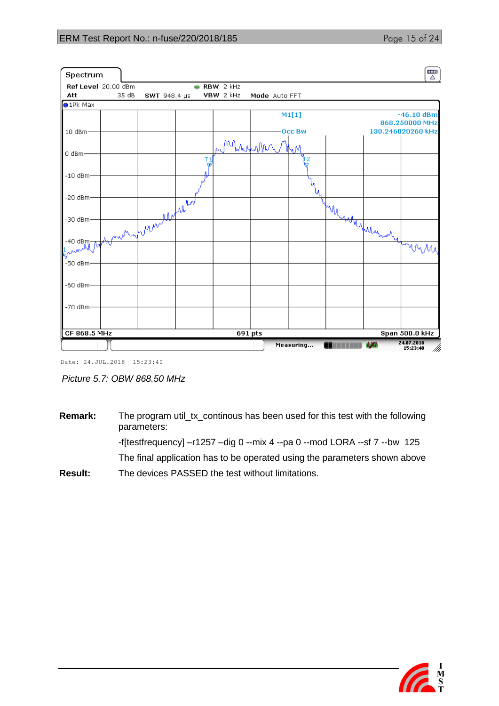### ERM Test Report No.: n-fuse/220/2018/185

| Page 15 of 24 |  |  |
|---------------|--|--|

| Spectrum                                                               |       |                 |                     |               |              |                 | Ē<br>Δ                         |
|------------------------------------------------------------------------|-------|-----------------|---------------------|---------------|--------------|-----------------|--------------------------------|
| Ref Level 20.00 dBm                                                    |       |                 | $\bullet$ RBW 2 kHz |               |              |                 |                                |
| Att                                                                    | 35 dB | SWT 948.4 µs    | VBW 2 kHz           | Mode Auto FFT |              |                 |                                |
| $\bullet$ 1Pk Max                                                      |       |                 |                     |               |              |                 |                                |
|                                                                        |       |                 |                     |               | M1[1]        |                 | $-46.10$ dBm<br>868.250000 MHz |
| 10 dBm·                                                                |       |                 |                     |               | <b>OccBw</b> |                 | 130.246020260 kHz              |
|                                                                        |       |                 | Mhrum               |               | Ŋ۷           |                 |                                |
| 0 dBm                                                                  |       |                 |                     |               | 2            |                 |                                |
| $-10$ dBm-                                                             |       |                 |                     |               |              |                 |                                |
| $-20$ dBm $\cdot$                                                      |       |                 |                     |               |              |                 |                                |
|                                                                        |       |                 |                     |               |              |                 |                                |
| -30 dBm-                                                               |       | Summer wordship |                     |               |              | Myssolution 1   |                                |
| $-40$ dBm-<br>$\sqrt[k]{\ }^{\mathcal{M}^{\mathcal{M}^{\mathcal{N}}}}$ |       |                 |                     |               |              |                 | tombe                          |
| $-50$ dBm                                                              |       |                 |                     |               |              |                 |                                |
| $-60$ dBm                                                              |       |                 |                     |               |              |                 |                                |
| -70 dBm-                                                               |       |                 |                     |               |              |                 |                                |
|                                                                        |       |                 |                     |               |              |                 |                                |
| CF 868.5 MHz                                                           |       |                 | 691 pts             |               |              |                 | Span 500.0 kHz                 |
|                                                                        |       |                 |                     |               | Measuring    | <b>ATTENDED</b> | 24.07.2018<br>Mi<br>15:23:40   |

Date: 24.JUL.2018 15:23:40

*Picture 5.7: OBW 868.50 MHz*

**Remark:** The program util\_tx\_continous has been used for this test with the following parameters: -f[testfrequency] –r1257 –dig 0 --mix 4 --pa 0 --mod LORA --sf 7 --bw 125 The final application has to be operated using the parameters shown above **Result:** The devices PASSED the test without limitations.

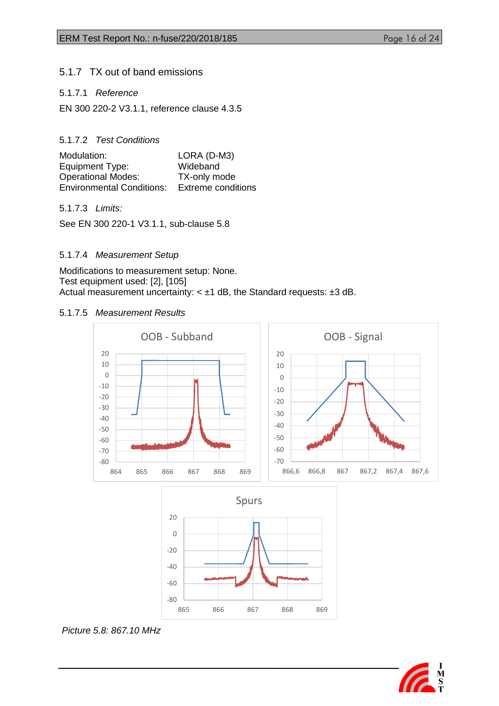### <span id="page-15-0"></span>5.1.7 TX out of band emissions

#### 5.1.7.1 *Reference*

EN 300 220-2 V3.1.1, reference clause 4.3.5

#### 5.1.7.2 *Test Conditions*

| Modulation:                      | LORA (D-M3)               |
|----------------------------------|---------------------------|
| Equipment Type:                  | Wideband                  |
| <b>Operational Modes:</b>        | TX-only mode              |
| <b>Environmental Conditions:</b> | <b>Extreme conditions</b> |

#### 5.1.7.3 *Limits:*

See EN 300 220-1 V3.1.1, sub-clause 5.8

#### 5.1.7.4 *Measurement Setup*

Modifications to measurement setup: None. Test equipment used: [2], [105] Actual measurement uncertainty:  $< \pm 1$  dB, the Standard requests:  $\pm 3$  dB.

#### 5.1.7.5 *Measurement Results*





#### *Picture 5.8: 867.10 MHz*

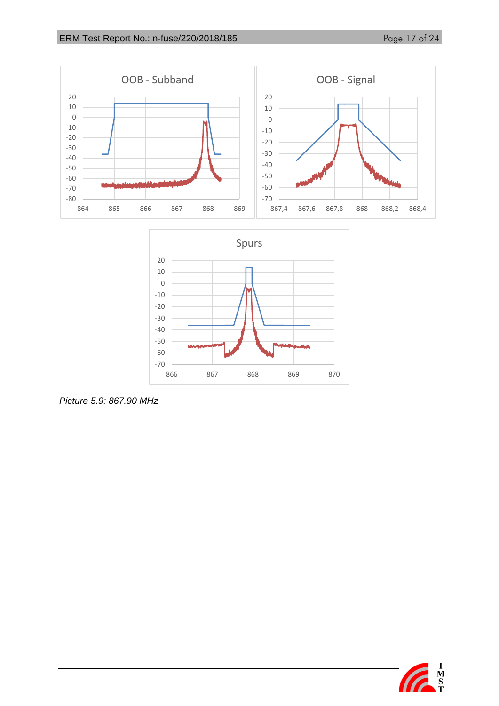





*Picture 5.9: 867.90 MHz*

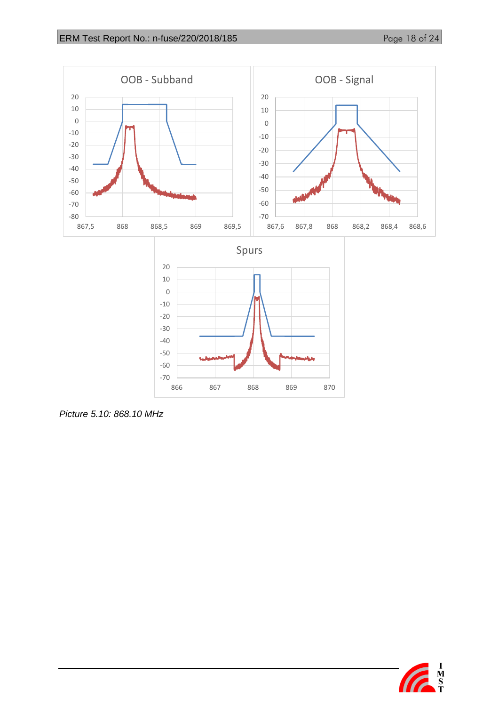

*Picture 5.10: 868.10 MHz*

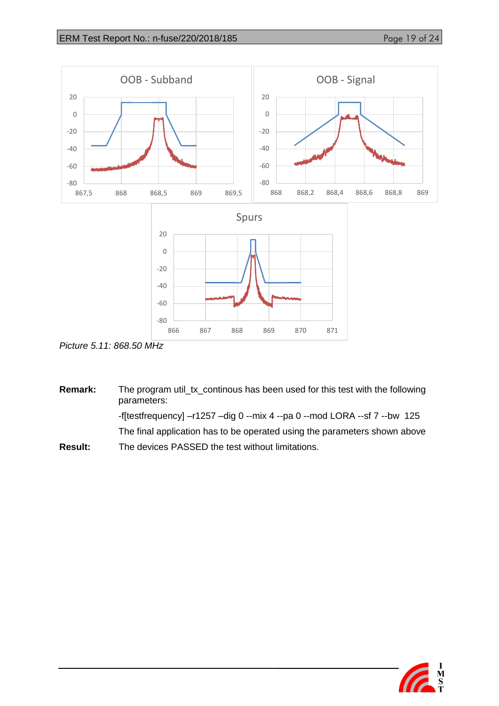

*Picture 5.11: 868.50 MHz*

**Remark:** The program util\_tx\_continous has been used for this test with the following parameters: -f[testfrequency] –r1257 –dig 0 --mix 4 --pa 0 --mod LORA --sf 7 --bw 125 The final application has to be operated using the parameters shown above **Result:** The devices PASSED the test without limitations.

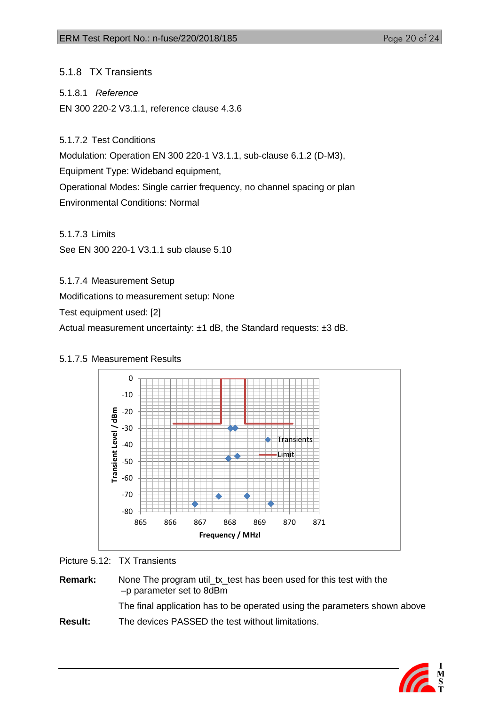<span id="page-19-0"></span>5.1.8 TX Transients

5.1.8.1 *Reference*

EN 300 220-2 V3.1.1, reference clause 4.3.6

5.1.7.2 Test Conditions

Modulation: Operation EN 300 220-1 V3.1.1, sub-clause 6.1.2 (D-M3),

Equipment Type: Wideband equipment,

Operational Modes: Single carrier frequency, no channel spacing or plan Environmental Conditions: Normal

5.1.7.3 Limits

See EN 300 220-1 V3.1.1 sub clause 5.10

5.1.7.4 Measurement Setup

Modifications to measurement setup: None

Test equipment used: [2]

Actual measurement uncertainty: ±1 dB, the Standard requests: ±3 dB.



## 5.1.7.5 Measurement Results

Picture 5.12: TX Transients

**Remark:** None The program util tx test has been used for this test with the –p parameter set to 8dBm The final application has to be operated using the parameters shown above **Result:** The devices PASSED the test without limitations.

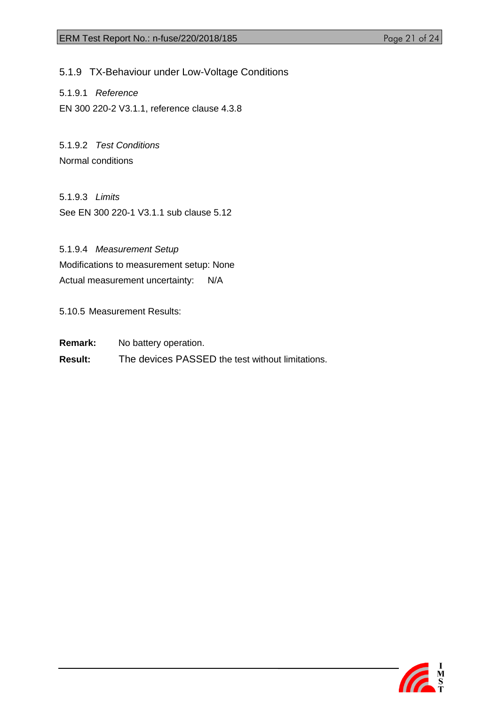<span id="page-20-0"></span>5.1.9 TX-Behaviour under Low-Voltage Conditions

5.1.9.1 *Reference* EN 300 220-2 V3.1.1, reference clause 4.3.8

5.1.9.2 *Test Conditions* Normal conditions

5.1.9.3 *Limits* See EN 300 220-1 V3.1.1 sub clause 5.12

5.1.9.4 *Measurement Setup* Modifications to measurement setup: None Actual measurement uncertainty: N/A

5.10.5 Measurement Results:

**Remark:** No battery operation.

**Result:** The devices PASSED the test without limitations.

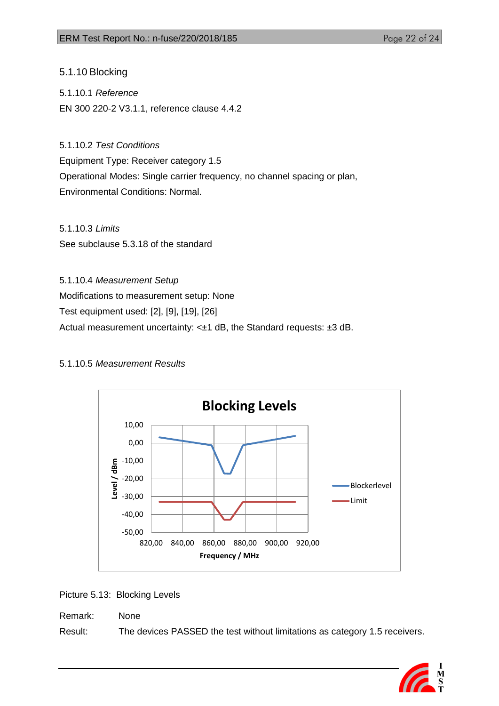<span id="page-21-0"></span>5.1.10 Blocking

5.1.10.1 *Reference* EN 300 220-2 V3.1.1, reference clause 4.4.2

5.1.10.2 *Test Conditions* Equipment Type: Receiver category 1.5 Operational Modes: Single carrier frequency, no channel spacing or plan, Environmental Conditions: Normal.

5.1.10.3 *Limits* See subclause 5.3.18 of the standard

5.1.10.4 *Measurement Setup* Modifications to measurement setup: None Test equipment used: [2], [9], [19], [26] Actual measurement uncertainty: <±1 dB, the Standard requests: ±3 dB.

## 5.1.10.5 *Measurement Results*



Picture 5.13: Blocking Levels

Remark: None Result: The devices PASSED the test without limitations as category 1.5 receivers.

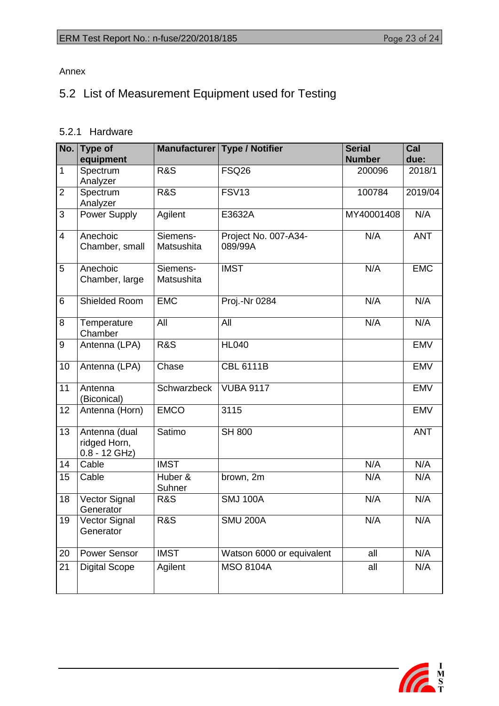Annex

# <span id="page-22-0"></span>5.2 List of Measurement Equipment used for Testing

# <span id="page-22-1"></span>5.2.1 Hardware

| No.             | <b>Type of</b><br>equipment                      |                        | Manufacturer   Type / Notifier  | <b>Serial</b><br><b>Number</b> | Cal<br>due: |
|-----------------|--------------------------------------------------|------------------------|---------------------------------|--------------------------------|-------------|
| 1               | Spectrum<br>Analyzer                             | <b>R&amp;S</b>         | <b>FSQ26</b>                    | 200096                         | 2018/1      |
| $\overline{2}$  | Spectrum<br>Analyzer                             | <b>R&amp;S</b>         | <b>FSV13</b>                    | 100784                         | 2019/04     |
| 3               | Power Supply                                     | Agilent                | E3632A                          | MY40001408                     | N/A         |
| $\overline{4}$  | Anechoic<br>Chamber, small                       | Siemens-<br>Matsushita | Project No. 007-A34-<br>089/99A | N/A                            | <b>ANT</b>  |
| 5               | Anechoic<br>Chamber, large                       | Siemens-<br>Matsushita | <b>IMST</b>                     | N/A                            | <b>EMC</b>  |
| 6               | Shielded Room                                    | <b>EMC</b>             | Proj.-Nr 0284                   | N/A                            | N/A         |
| 8               | Temperature<br>Chamber                           | All                    | All                             | N/A                            | N/A         |
| $9\,$           | Antenna (LPA)                                    | <b>R&amp;S</b>         | <b>HL040</b>                    |                                | <b>EMV</b>  |
| 10              | Antenna (LPA)                                    | Chase                  | <b>CBL 6111B</b>                |                                | <b>EMV</b>  |
| 11              | Antenna<br>(Biconical)                           | Schwarzbeck            | <b>VUBA 9117</b>                |                                | <b>EMV</b>  |
| 12              | Antenna (Horn)                                   | <b>EMCO</b>            | 3115                            |                                | <b>EMV</b>  |
| 13              | Antenna (dual<br>ridged Horn,<br>$0.8 - 12$ GHz) | Satimo                 | <b>SH 800</b>                   |                                | <b>ANT</b>  |
| 14              | Cable                                            | <b>IMST</b>            |                                 | N/A                            | N/A         |
| 15              | Cable                                            | Huber &<br>Suhner      | brown, 2m                       | N/A                            | N/A         |
| 18              | Vector Signal<br>Generator                       | <b>R&amp;S</b>         | <b>SMJ 100A</b>                 | N/A                            | N/A         |
| 19              | Vector Signal<br>Generator                       | <b>R&amp;S</b>         | <b>SMU 200A</b>                 | N/A                            | N/A         |
| 20              | Power Sensor                                     | <b>IMST</b>            | Watson 6000 or equivalent       | all                            | N/A         |
| $\overline{21}$ | <b>Digital Scope</b>                             | Agilent                | <b>MSO 8104A</b>                | all                            | N/A         |